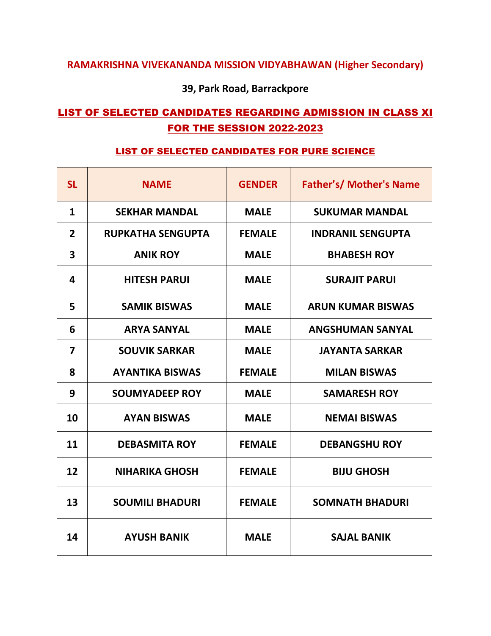### **RAMAKRISHNA VIVEKANANDA MISSION VIDYABHAWAN (Higher Secondary)**

**39, Park Road, Barrackpore** 

### LIST OF SELECTED CANDIDATES REGARDING ADMISSION IN CLASS XI FOR THE SESSION 2022-2023

#### LIST OF SELECTED CANDIDATES FOR PURE SCIENCE

| <b>SL</b>               | <b>NAME</b>              | <b>GENDER</b> | <b>Father's/ Mother's Name</b> |
|-------------------------|--------------------------|---------------|--------------------------------|
| $\mathbf{1}$            | <b>SEKHAR MANDAL</b>     | <b>MALE</b>   | <b>SUKUMAR MANDAL</b>          |
| $\overline{2}$          | <b>RUPKATHA SENGUPTA</b> | <b>FEMALE</b> | <b>INDRANIL SENGUPTA</b>       |
| 3                       | <b>ANIK ROY</b>          | <b>MALE</b>   | <b>BHABESH ROY</b>             |
| 4                       | <b>HITESH PARUI</b>      | <b>MALE</b>   | <b>SURAJIT PARUI</b>           |
| 5                       | <b>SAMIK BISWAS</b>      | <b>MALE</b>   | <b>ARUN KUMAR BISWAS</b>       |
| 6                       | <b>ARYA SANYAL</b>       | <b>MALE</b>   | <b>ANGSHUMAN SANYAL</b>        |
| $\overline{\mathbf{z}}$ | <b>SOUVIK SARKAR</b>     | <b>MALE</b>   | <b>JAYANTA SARKAR</b>          |
| 8                       | <b>AYANTIKA BISWAS</b>   | <b>FEMALE</b> | <b>MILAN BISWAS</b>            |
| 9                       | <b>SOUMYADEEP ROY</b>    | <b>MALE</b>   | <b>SAMARESH ROY</b>            |
| 10                      | <b>AYAN BISWAS</b>       | <b>MALE</b>   | <b>NEMAI BISWAS</b>            |
| 11                      | <b>DEBASMITA ROY</b>     | <b>FEMALE</b> | <b>DEBANGSHU ROY</b>           |
| 12                      | <b>NIHARIKA GHOSH</b>    | <b>FEMALE</b> | <b>BIJU GHOSH</b>              |
| 13                      | <b>SOUMILI BHADURI</b>   | <b>FEMALE</b> | <b>SOMNATH BHADURI</b>         |
| 14                      | <b>AYUSH BANIK</b>       | <b>MALE</b>   | <b>SAJAL BANIK</b>             |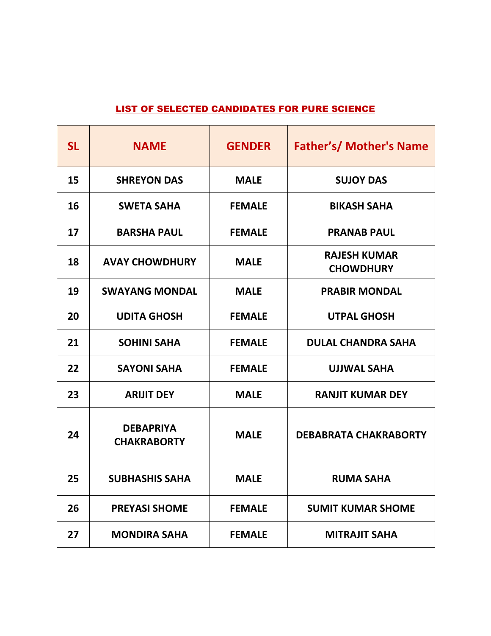#### LIST OF SELECTED CANDIDATES FOR PURE SCIENCE

| <b>SL</b> | <b>NAME</b>                            | <b>GENDER</b> | <b>Father's/ Mother's Name</b>          |
|-----------|----------------------------------------|---------------|-----------------------------------------|
| 15        | <b>SHREYON DAS</b>                     | <b>MALE</b>   | <b>SUJOY DAS</b>                        |
| 16        | <b>SWETA SAHA</b>                      | <b>FEMALE</b> | <b>BIKASH SAHA</b>                      |
| 17        | <b>BARSHA PAUL</b>                     | <b>FEMALE</b> | <b>PRANAB PAUL</b>                      |
| 18        | <b>AVAY CHOWDHURY</b>                  | <b>MALE</b>   | <b>RAJESH KUMAR</b><br><b>CHOWDHURY</b> |
| 19        | <b>SWAYANG MONDAL</b>                  | <b>MALE</b>   | <b>PRABIR MONDAL</b>                    |
| 20        | <b>UDITA GHOSH</b>                     | <b>FEMALE</b> | <b>UTPAL GHOSH</b>                      |
| 21        | <b>SOHINI SAHA</b>                     | <b>FEMALE</b> | <b>DULAL CHANDRA SAHA</b>               |
| 22        | <b>SAYONI SAHA</b>                     | <b>FEMALE</b> | <b>UJJWAL SAHA</b>                      |
| 23        | <b>ARIJIT DEY</b>                      | <b>MALE</b>   | <b>RANJIT KUMAR DEY</b>                 |
| 24        | <b>DEBAPRIYA</b><br><b>CHAKRABORTY</b> | <b>MALE</b>   | <b>DEBABRATA CHAKRABORTY</b>            |
| 25        | <b>SUBHASHIS SAHA</b>                  | <b>MALE</b>   | <b>RUMA SAHA</b>                        |
| 26        | <b>PREYASI SHOME</b>                   | <b>FEMALE</b> | <b>SUMIT KUMAR SHOME</b>                |
| 27        | <b>MONDIRA SAHA</b>                    | <b>FEMALE</b> | <b>MITRAJIT SAHA</b>                    |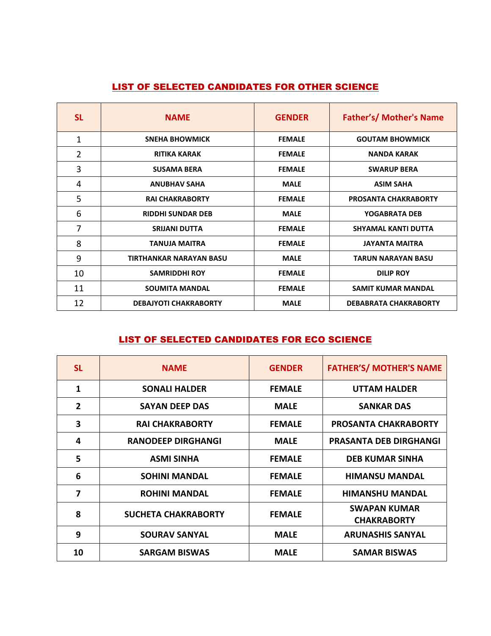#### LIST OF SELECTED CANDIDATES FOR OTHER SCIENCE

| <b>SL</b> | <b>NAME</b>                  | <b>GENDER</b> | <b>Father's/ Mother's Name</b> |
|-----------|------------------------------|---------------|--------------------------------|
| 1         | <b>SNEHA BHOWMICK</b>        | <b>FEMALE</b> | <b>GOUTAM BHOWMICK</b>         |
| 2         | <b>RITIKA KARAK</b>          | <b>FEMALE</b> | <b>NANDA KARAK</b>             |
| 3         | <b>SUSAMA BERA</b>           | <b>FEMALE</b> | <b>SWARUP BERA</b>             |
| 4         | <b>ANUBHAV SAHA</b>          | <b>MALE</b>   | <b>ASIM SAHA</b>               |
| 5         | <b>RAI CHAKRABORTY</b>       | <b>FEMALE</b> | <b>PROSANTA CHAKRABORTY</b>    |
| 6         | <b>RIDDHI SUNDAR DEB</b>     | <b>MALE</b>   | YOGABRATA DEB                  |
| 7         | <b>SRIJANI DUTTA</b>         | <b>FEMALE</b> | SHYAMAL KANTI DUTTA            |
| 8         | <b>TANUJA MAITRA</b>         | <b>FEMALE</b> | <b>JAYANTA MAITRA</b>          |
| 9         | TIRTHANKAR NARAYAN BASU      | <b>MALE</b>   | <b>TARUN NARAYAN BASU</b>      |
| 10        | <b>SAMRIDDHI ROY</b>         | <b>FEMALE</b> | <b>DILIP ROY</b>               |
| 11        | <b>SOUMITA MANDAL</b>        | <b>FEMALE</b> | <b>SAMIT KUMAR MANDAL</b>      |
| 12        | <b>DEBAJYOTI CHAKRABORTY</b> | <b>MALE</b>   | <b>DEBABRATA CHAKRABORTY</b>   |

#### LIST OF SELECTED CANDIDATES FOR ECO SCIENCE

| <b>SL</b>      | <b>NAME</b>                | <b>GENDER</b> | <b>FATHER'S/ MOTHER'S NAME</b>            |
|----------------|----------------------------|---------------|-------------------------------------------|
| $\mathbf{1}$   | <b>SONALI HALDER</b>       | <b>FEMALE</b> | <b>UTTAM HALDER</b>                       |
| $\overline{2}$ | <b>SAYAN DEEP DAS</b>      | <b>MALE</b>   | <b>SANKAR DAS</b>                         |
| 3              | <b>RAI CHAKRABORTY</b>     | <b>FEMALE</b> | <b>PROSANTA CHAKRABORTY</b>               |
| 4              | <b>RANODEEP DIRGHANGI</b>  | <b>MALE</b>   | <b>PRASANTA DEB DIRGHANGI</b>             |
| 5              | <b>ASMI SINHA</b>          | <b>FEMALE</b> | <b>DEB KUMAR SINHA</b>                    |
| 6              | <b>SOHINI MANDAL</b>       | <b>FEMALE</b> | <b>HIMANSU MANDAL</b>                     |
| $\overline{7}$ | <b>ROHINI MANDAL</b>       | <b>FEMALE</b> | <b>HIMANSHU MANDAL</b>                    |
| 8              | <b>SUCHETA CHAKRABORTY</b> | <b>FEMALE</b> | <b>SWAPAN KUMAR</b><br><b>CHAKRABORTY</b> |
| 9              | <b>SOURAV SANYAL</b>       | <b>MALE</b>   | <b>ARUNASHIS SANYAL</b>                   |
| 10             | <b>SARGAM BISWAS</b>       | <b>MALE</b>   | <b>SAMAR BISWAS</b>                       |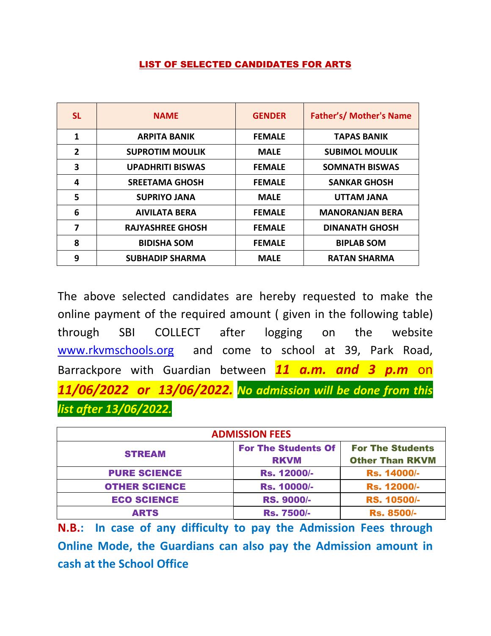#### LIST OF SELECTED CANDIDATES FOR ARTS

| <b>SL</b>      | <b>NAME</b>             | <b>GENDER</b> | <b>Father's/ Mother's Name</b> |
|----------------|-------------------------|---------------|--------------------------------|
| $\mathbf{1}$   | <b>ARPITA BANIK</b>     | <b>FEMALE</b> | <b>TAPAS BANIK</b>             |
| $\overline{2}$ | <b>SUPROTIM MOULIK</b>  | <b>MALE</b>   | <b>SUBIMOL MOULIK</b>          |
| 3              | <b>UPADHRITI BISWAS</b> | <b>FEMALE</b> | <b>SOMNATH BISWAS</b>          |
| 4              | <b>SREETAMA GHOSH</b>   | <b>FEMALE</b> | <b>SANKAR GHOSH</b>            |
| 5              | <b>SUPRIYO JANA</b>     | <b>MALE</b>   | <b>UTTAM JANA</b>              |
| 6              | <b>AIVILATA BERA</b>    | <b>FEMALE</b> | <b>MANORANJAN BERA</b>         |
| 7              | <b>RAJYASHREE GHOSH</b> | <b>FEMALE</b> | <b>DINANATH GHOSH</b>          |
| 8              | <b>BIDISHA SOM</b>      | <b>FEMALE</b> | <b>BIPLAB SOM</b>              |
| 9              | <b>SUBHADIP SHARMA</b>  | <b>MALE</b>   | <b>RATAN SHARMA</b>            |

The above selected candidates are hereby requested to make the online payment of the required amount ( given in the following table) through SBI COLLECT after logging on the website www.rkvmschools.org and come to school at 39, Park Road, Barrackpore with Guardian between *11 a.m. and 3 p.m* on *11/06/2022 or 13/06/2022. No admission will be done from this list after 13/06/2022.* 

| <b>ADMISSION FEES</b> |                                           |                                                   |  |
|-----------------------|-------------------------------------------|---------------------------------------------------|--|
| <b>STREAM</b>         | <b>For The Students Of</b><br><b>RKVM</b> | <b>For The Students</b><br><b>Other Than RKVM</b> |  |
| <b>PURE SCIENCE</b>   | Rs. 12000/-                               | Rs. 14000/-                                       |  |
| <b>OTHER SCIENCE</b>  | Rs. 10000/-                               | Rs. 12000/-                                       |  |
| <b>ECO SCIENCE</b>    | <b>RS. 9000/-</b>                         | RS. 10500/-                                       |  |
| <b>ARTS</b>           | <b>Rs. 7500/-</b>                         | <b>Rs. 8500/-</b>                                 |  |

**N.B.: In case of any difficulty to pay the Admission Fees through Online Mode, the Guardians can also pay the Admission amount in cash at the School Office**